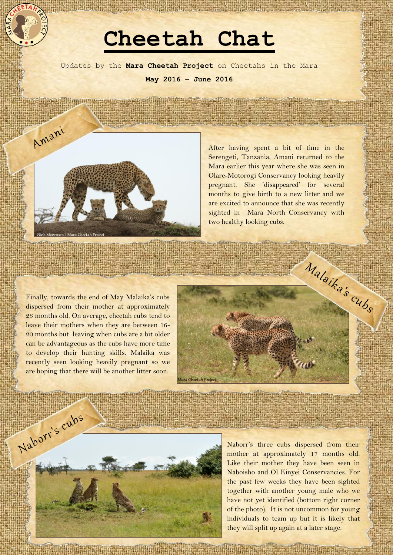## **Cheetah Chat**

Updates by the **Mara Cheetah Project** on Cheetahs in the Mara **May 2016 – June 2016**



After having spent a bit of time in the Serengeti, Tanzania, Amani returned to the Mara earlier this year where she was seen in Olare-Motorogi Conservancy looking heavily pregnant. She 'disappeared' for several months to give birth to a new litter and we are excited to announce that she was recently sighted in Mara North Conservancy with two healthy looking cubs.

Finally, towards the end of May Malaika's cubs dispersed from their mother at approximately 23 months old. On average, cheetah cubs tend to leave their mothers when they are between 16- 20 months but leaving when cubs are a bit older can be advantageous as the cubs have more time to develop their hunting skills. Malaika was recently seen looking heavily pregnant so we are hoping that there will be another litter soon.





Naborr's three cubs dispersed from their mother at approximately 17 months old. Like their mother they have been seen in Naboisho and Ol Kinyei Conservancies. For the past few weeks they have been sighted together with another young male who we have not yet identified (bottom right corner of the photo). It is not uncommon for young individuals to team up but it is likely that they will split up again at a later stage.

**The Property of Property States**